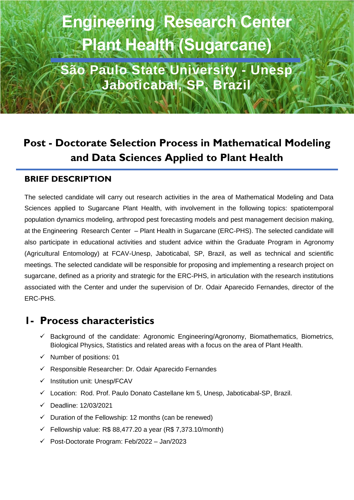# **Engineering Research Center Plant Health (Sugarcane)**

**São Paulo State University - Unesp Jaboticabal, SP, Brazil**

# **Post - Doctorate Selection Process in Mathematical Modeling and Data Sciences Applied to Plant Health**

### **BRIEF DESCRIPTION**

The selected candidate will carry out research activities in the area of Mathematical Modeling and Data Sciences applied to Sugarcane Plant Health, with involvement in the following topics: spatiotemporal population dynamics modeling, arthropod pest forecasting models and pest management decision making, at the Engineering Research Center – Plant Health in Sugarcane (ERC-PHS). The selected candidate will also participate in educational activities and student advice within the Graduate Program in Agronomy (Agricultural Entomology) at FCAV-Unesp, Jaboticabal, SP, Brazil, as well as technical and scientific meetings. The selected candidate will be responsible for proposing and implementing a research project on sugarcane, defined as a priority and strategic for the ERC-PHS, in articulation with the research institutions associated with the Center and under the supervision of Dr. Odair Aparecido Fernandes, director of the ERC-PHS.

## **1- Process characteristics**

- ✓ Background of the candidate: Agronomic Engineering/Agronomy, Biomathematics, Biometrics, Biological Physics, Statistics and related areas with a focus on the area of Plant Health.
- ✓ Number of positions: 01
- $\checkmark$  Responsible Researcher: Dr. Odair Aparecido Fernandes
- ✓ Institution unit: Unesp/FCAV
- $\checkmark$  Location: Rod. Prof. Paulo Donato Castellane km 5, Unesp, Jaboticabal-SP, Brazil.
- ✓ Deadline: 12/03/2021
- $\checkmark$  Duration of the Fellowship: 12 months (can be renewed)
- $\checkmark$  Fellowship value: R\$ 88,477.20 a year (R\$ 7,373.10/month)
- ✓ Post-Doctorate Program: Feb/2022 Jan/2023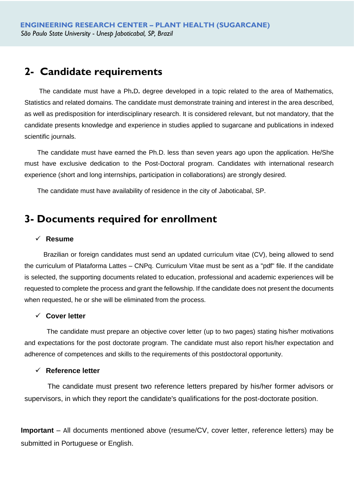## **2- Candidate requirements**

 The candidate must have a Ph**.**D**.** degree developed in a topic related to the area of Mathematics, Statistics and related domains. The candidate must demonstrate training and interest in the area described, as well as predisposition for interdisciplinary research. It is considered relevant, but not mandatory, that the candidate presents knowledge and experience in studies applied to sugarcane and publications in indexed scientific journals.

 The candidate must have earned the Ph.D. less than seven years ago upon the application. He/She must have exclusive dedication to the Post-Doctoral program. Candidates with international research experience (short and long internships, participation in collaborations) are strongly desired.

The candidate must have availability of residence in the city of Jaboticabal, SP.

## **3- Documents required for enrollment**

#### ✓ **Resume**

Brazilian or foreign candidates must send an updated curriculum vitae (CV), being allowed to send the curriculum of Plataforma Lattes – CNPq. Curriculum Vitae must be sent as a "pdf" file. If the candidate is selected, the supporting documents related to education, professional and academic experiences will be requested to complete the process and grant the fellowship. If the candidate does not present the documents when requested, he or she will be eliminated from the process.

#### ✓ **Cover letter**

 The candidate must prepare an objective cover letter (up to two pages) stating his/her motivations and expectations for the post doctorate program. The candidate must also report his/her expectation and adherence of competences and skills to the requirements of this postdoctoral opportunity.

#### ✓ **Reference letter**

The candidate must present two reference letters prepared by his/her former advisors or supervisors, in which they report the candidate's qualifications for the post-doctorate position.

**Important** – All documents mentioned above (resume/CV, cover letter, reference letters) may be submitted in Portuguese or English.